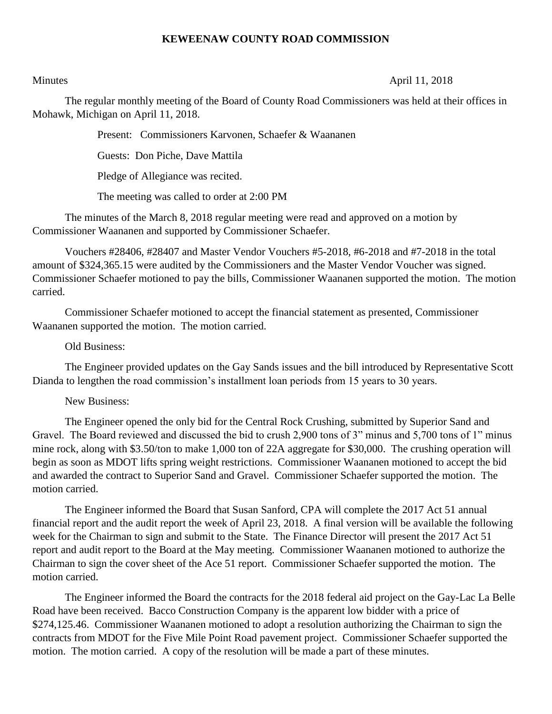# **KEWEENAW COUNTY ROAD COMMISSION**

### Minutes April 11, 2018

The regular monthly meeting of the Board of County Road Commissioners was held at their offices in Mohawk, Michigan on April 11, 2018.

Present: Commissioners Karvonen, Schaefer & Waananen

Guests: Don Piche, Dave Mattila

Pledge of Allegiance was recited.

The meeting was called to order at 2:00 PM

The minutes of the March 8, 2018 regular meeting were read and approved on a motion by Commissioner Waananen and supported by Commissioner Schaefer.

Vouchers #28406, #28407 and Master Vendor Vouchers #5-2018, #6-2018 and #7-2018 in the total amount of \$324,365.15 were audited by the Commissioners and the Master Vendor Voucher was signed. Commissioner Schaefer motioned to pay the bills, Commissioner Waananen supported the motion. The motion carried.

Commissioner Schaefer motioned to accept the financial statement as presented, Commissioner Waananen supported the motion. The motion carried.

### Old Business:

The Engineer provided updates on the Gay Sands issues and the bill introduced by Representative Scott Dianda to lengthen the road commission's installment loan periods from 15 years to 30 years.

## New Business:

The Engineer opened the only bid for the Central Rock Crushing, submitted by Superior Sand and Gravel. The Board reviewed and discussed the bid to crush 2,900 tons of 3" minus and 5,700 tons of 1" minus mine rock, along with \$3.50/ton to make 1,000 ton of 22A aggregate for \$30,000. The crushing operation will begin as soon as MDOT lifts spring weight restrictions. Commissioner Waananen motioned to accept the bid and awarded the contract to Superior Sand and Gravel. Commissioner Schaefer supported the motion. The motion carried.

The Engineer informed the Board that Susan Sanford, CPA will complete the 2017 Act 51 annual financial report and the audit report the week of April 23, 2018. A final version will be available the following week for the Chairman to sign and submit to the State. The Finance Director will present the 2017 Act 51 report and audit report to the Board at the May meeting. Commissioner Waananen motioned to authorize the Chairman to sign the cover sheet of the Ace 51 report. Commissioner Schaefer supported the motion. The motion carried.

The Engineer informed the Board the contracts for the 2018 federal aid project on the Gay-Lac La Belle Road have been received. Bacco Construction Company is the apparent low bidder with a price of \$274,125.46. Commissioner Waananen motioned to adopt a resolution authorizing the Chairman to sign the contracts from MDOT for the Five Mile Point Road pavement project. Commissioner Schaefer supported the motion. The motion carried. A copy of the resolution will be made a part of these minutes.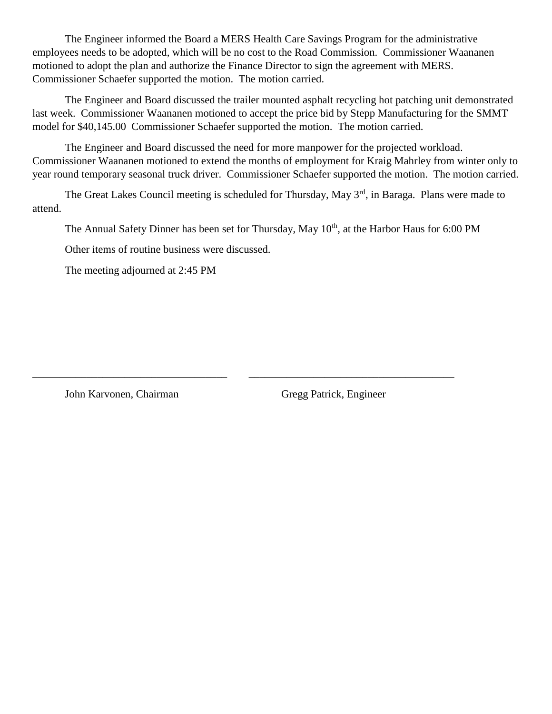The Engineer informed the Board a MERS Health Care Savings Program for the administrative employees needs to be adopted, which will be no cost to the Road Commission. Commissioner Waananen motioned to adopt the plan and authorize the Finance Director to sign the agreement with MERS. Commissioner Schaefer supported the motion. The motion carried.

The Engineer and Board discussed the trailer mounted asphalt recycling hot patching unit demonstrated last week. Commissioner Waananen motioned to accept the price bid by Stepp Manufacturing for the SMMT model for \$40,145.00 Commissioner Schaefer supported the motion. The motion carried.

The Engineer and Board discussed the need for more manpower for the projected workload. Commissioner Waananen motioned to extend the months of employment for Kraig Mahrley from winter only to year round temporary seasonal truck driver. Commissioner Schaefer supported the motion. The motion carried.

The Great Lakes Council meeting is scheduled for Thursday, May 3<sup>rd</sup>, in Baraga. Plans were made to attend.

The Annual Safety Dinner has been set for Thursday, May 10<sup>th</sup>, at the Harbor Haus for 6:00 PM

\_\_\_\_\_\_\_\_\_\_\_\_\_\_\_\_\_\_\_\_\_\_\_\_\_\_\_\_\_\_\_\_\_\_\_\_ \_\_\_\_\_\_\_\_\_\_\_\_\_\_\_\_\_\_\_\_\_\_\_\_\_\_\_\_\_\_\_\_\_\_\_\_\_\_

Other items of routine business were discussed.

The meeting adjourned at 2:45 PM

John Karvonen, Chairman Gregg Patrick, Engineer